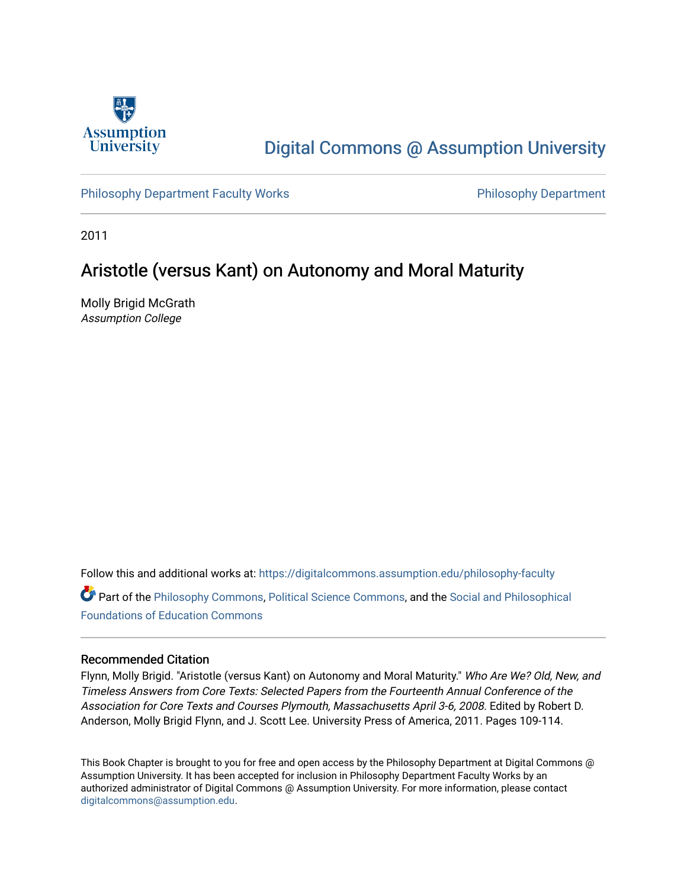

## [Digital Commons @ Assumption University](https://digitalcommons.assumption.edu/)

[Philosophy Department Faculty Works](https://digitalcommons.assumption.edu/philosophy-faculty) **Philosophy Department** Philosophy Department

2011

### Aristotle (versus Kant) on Autonomy and Moral Maturity

Molly Brigid McGrath Assumption College

Follow this and additional works at: [https://digitalcommons.assumption.edu/philosophy-faculty](https://digitalcommons.assumption.edu/philosophy-faculty?utm_source=digitalcommons.assumption.edu%2Fphilosophy-faculty%2F12&utm_medium=PDF&utm_campaign=PDFCoverPages)  Part of the [Philosophy Commons,](http://network.bepress.com/hgg/discipline/525?utm_source=digitalcommons.assumption.edu%2Fphilosophy-faculty%2F12&utm_medium=PDF&utm_campaign=PDFCoverPages) [Political Science Commons,](http://network.bepress.com/hgg/discipline/386?utm_source=digitalcommons.assumption.edu%2Fphilosophy-faculty%2F12&utm_medium=PDF&utm_campaign=PDFCoverPages) and the [Social and Philosophical](http://network.bepress.com/hgg/discipline/799?utm_source=digitalcommons.assumption.edu%2Fphilosophy-faculty%2F12&utm_medium=PDF&utm_campaign=PDFCoverPages) 

[Foundations of Education Commons](http://network.bepress.com/hgg/discipline/799?utm_source=digitalcommons.assumption.edu%2Fphilosophy-faculty%2F12&utm_medium=PDF&utm_campaign=PDFCoverPages)

#### Recommended Citation

Flynn, Molly Brigid. "Aristotle (versus Kant) on Autonomy and Moral Maturity." Who Are We? Old, New, and Timeless Answers from Core Texts: Selected Papers from the Fourteenth Annual Conference of the Association for Core Texts and Courses Plymouth, Massachusetts April 3-6, 2008. Edited by Robert D. Anderson, Molly Brigid Flynn, and J. Scott Lee. University Press of America, 2011. Pages 109-114.

This Book Chapter is brought to you for free and open access by the Philosophy Department at Digital Commons @ Assumption University. It has been accepted for inclusion in Philosophy Department Faculty Works by an authorized administrator of Digital Commons @ Assumption University. For more information, please contact [digitalcommons@assumption.edu](mailto:digitalcommons@assumption.edu).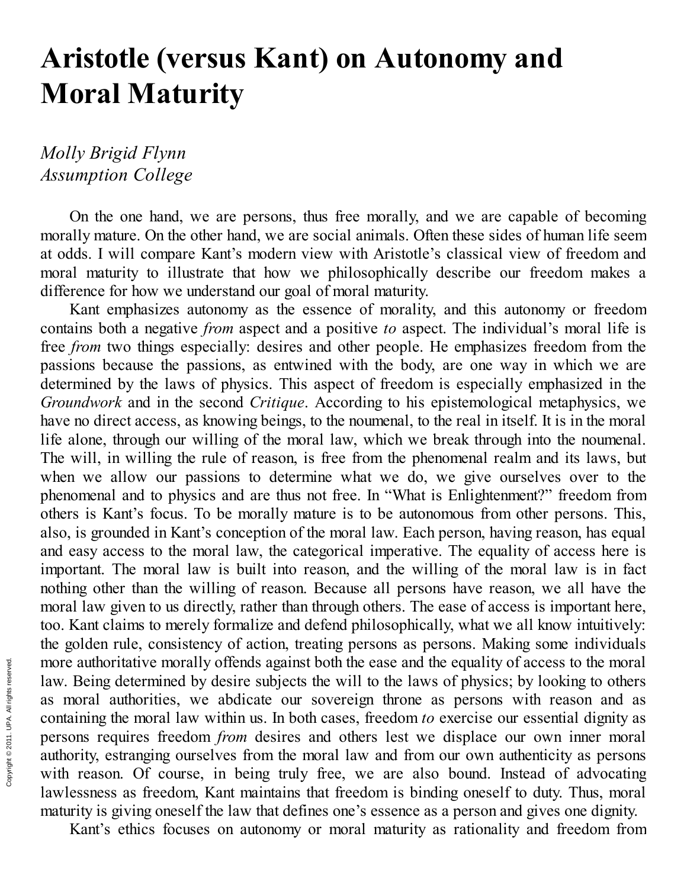# **Aristotle (versus Kant) on Autonomy and Moral Maturity**

### *Molly Brigid Flynn Assumption College*

On the one hand, we are persons, thus free morally, and we are capable of becoming morally mature. On the other hand, we are social animals. Often these sides of human life seem at odds. I will compare Kant's modern view with Aristotle's classical view of freedom and moral maturity to illustrate that how we philosophically describe our freedom makes a difference for how we understand our goal of moral maturity.

Kant emphasizes autonomy as the essence of morality, and this autonomy or freedom contains both a negative *from* aspect and a positive *to* aspect. The individual's moral life is free *from* two things especially: desires and other people. He emphasizes freedom from the passions because the passions, as entwined with the body, are one way in which we are determined by the laws of physics. This aspect of freedom is especially emphasized in the *Groundwork* and in the second *Critique*. According to his epistemological metaphysics, we have no direct access, as knowing beings, to the noumenal, to the real in itself. It is in the moral life alone, through our willing of the moral law, which we break through into the noumenal. The will, in willing the rule of reason, is free from the phenomenal realm and its laws, but when we allow our passions to determine what we do, we give ourselves over to the phenomenal and to physics and are thus not free. In "What is Enlightenment?" freedom from others is Kant's focus. To be morally mature is to be autonomous from other persons. This, also, is grounded in Kant's conception of the moral law. Each person, having reason, has equal and easy access to the moral law, the categorical imperative. The equality of access here is important. The moral law is built into reason, and the willing of the moral law is in fact nothing other than the willing of reason. Because all persons have reason, we all have the moral law given to us directly, rather than through others. The ease of access is important here, too. Kant claims to merely formalize and defend philosophically, what we all know intuitively: the golden rule, consistency of action, treating persons as persons. Making some individuals more authoritative morally offends against both the ease and the equality of access to the moral law. Being determined by desire subjects the will to the laws of physics; by looking to others as moral authorities, we abdicate our sovereign throne as persons with reason and as containing the moral law within us. In both cases, freedom *to* exercise our essential dignity as persons requires freedom *from* desires and others lest we displace our own inner moral authority, estranging ourselves from the moral law and from our own authenticity as persons with reason. Of course, in being truly free, we are also bound. Instead of advocating lawlessness as freedom, Kant maintains that freedom is binding oneself to duty. Thus, moral maturity is giving oneself the law that defines one's essence as a person and gives one dignity.

Kant's ethics focuses on autonomy or moral maturity as rationality and freedom from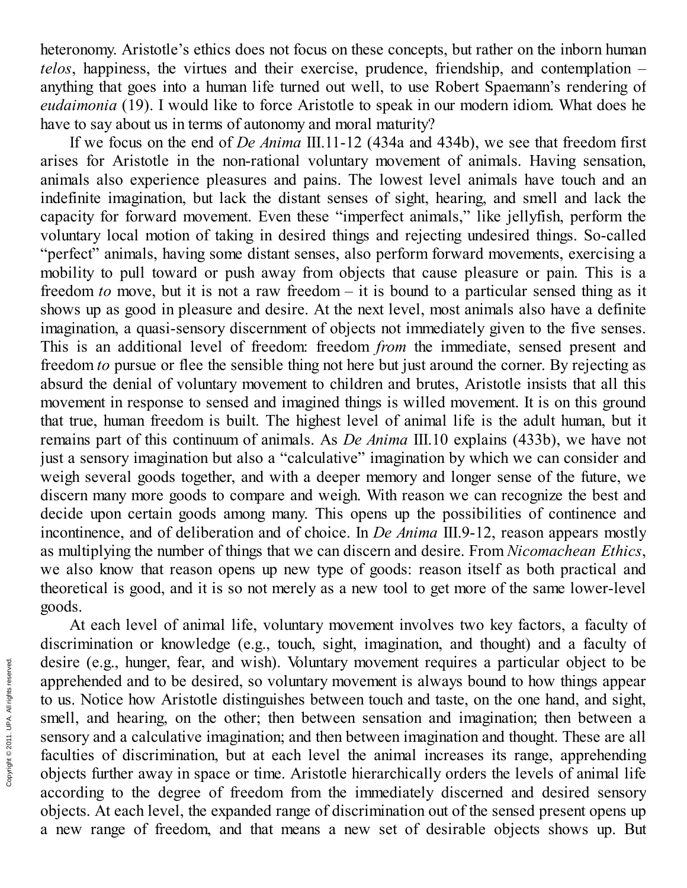heteronomy. Aristotle's ethics does not focus on these concepts, but rather on the inborn human *telos*, happiness, the virtues and their exercise, prudence, friendship, and contemplation – anything that goes into a human life turned out well, to use Robert Spaemann's rendering of *eudaimonia* (19). I would like to force Aristotle to speak in our modern idiom. What does he have to say about us in terms of autonomy and moral maturity?

If we focus on the end of *De Anima* III.11-12 (434a and 434b), we see that freedom first arises for Aristotle in the non-rational voluntary movement of animals. Having sensation, animals also experience pleasures and pains. The lowest level animals have touch and an indefinite imagination, but lack the distant senses of sight, hearing, and smell and lack the capacity for forward movement. Even these "imperfect animals," like jellyfish, perform the voluntary local motion of taking in desired things and rejecting undesired things. So-called "perfect" animals, having some distant senses, also perform forward movements, exercising a mobility to pull toward or push away from objects that cause pleasure or pain. This is a freedom *to* move, but it is not a raw freedom – it is bound to a particular sensed thing as it shows up as good in pleasure and desire. At the next level, most animals also have a definite imagination, a quasi-sensory discernment of objects not immediately given to the five senses. This is an additional level of freedom: freedom *from* the immediate, sensed present and freedom *to* pursue or flee the sensible thing not here but just around the corner. By rejecting as absurd the denial of voluntary movement to children and brutes, Aristotle insists that all this movement in response to sensed and imagined things is willed movement. It is on this ground that true, human freedom is built. The highest level of animal life is the adult human, but it remains part of this continuum of animals. As *De Anima* III.10 explains (433b), we have not just a sensory imagination but also a "calculative" imagination by which we can consider and weigh several goods together, and with a deeper memory and longer sense of the future, we discern many more goods to compare and weigh. With reason we can recognize the best and decide upon certain goods among many. This opens up the possibilities of continence and incontinence, and of deliberation and of choice. In *De Anima* III.9-12, reason appears mostly as multiplying the number of things that we can discern and desire. From *Nicomachean Ethics*, we also know that reason opens up new type of goods: reason itself as both practical and theoretical is good, and it is so not merely as a new tool to get more of the same lower-level goods.

At each level of animal life, voluntary movement involves two key factors, a faculty of discrimination or knowledge (e.g., touch, sight, imagination, and thought) and a faculty of desire (e.g., hunger, fear, and wish). Voluntary movement requires a particular object to be apprehended and to be desired, so voluntary movement is always bound to how things appear to us. Notice how Aristotle distinguishes between touch and taste, on the one hand, and sight, smell, and hearing, on the other; then between sensation and imagination; then between a sensory and a calculative imagination; and then between imagination and thought. These are all faculties of discrimination, but at each level the animal increases its range, apprehending objects further away in space or time. Aristotle hierarchically orders the levels of animal life according to the degree of freedom from the immediately discerned and desired sensory objects. At each level, the expanded range of discrimination out of the sensed present opens up a new range of freedom, and that means a new set of desirable objects shows up. But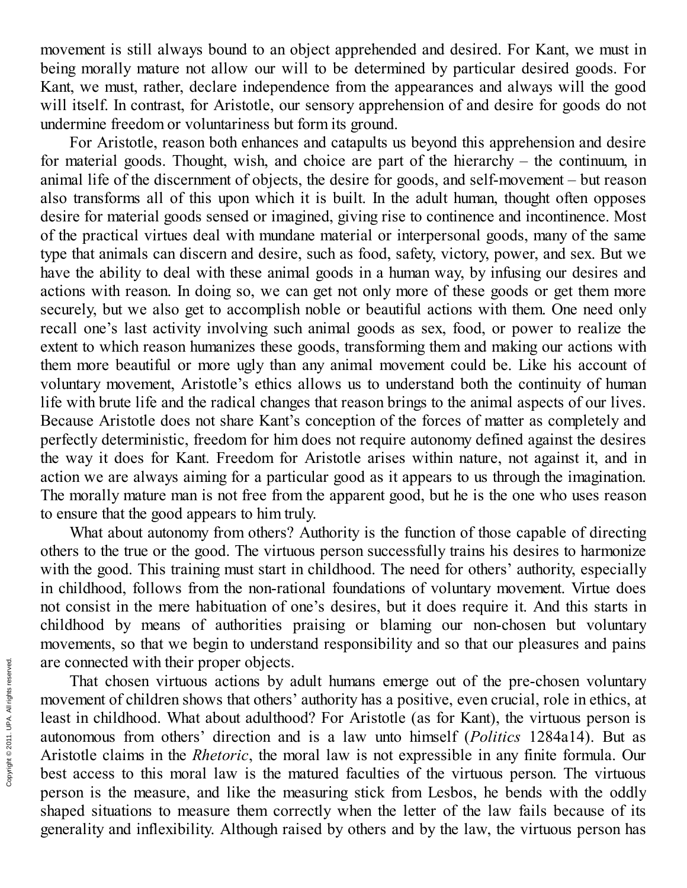movement is still always bound to an object apprehended and desired. For Kant, we must in being morally mature not allow our will to be determined by particular desired goods. For Kant, we must, rather, declare independence from the appearances and always will the good will itself. In contrast, for Aristotle, our sensory apprehension of and desire for goods do not undermine freedom or voluntariness but form its ground.

For Aristotle, reason both enhances and catapults us beyond this apprehension and desire for material goods. Thought, wish, and choice are part of the hierarchy – the continuum, in animal life of the discernment of objects, the desire for goods, and self-movement  $-$  but reason also transforms all of this upon which it is built. In the adult human, thought often opposes desire for material goods sensed or imagined, giving rise to continence and incontinence. Most of the practical virtues deal with mundane material or interpersonal goods, many of the same type that animals can discern and desire, such as food, safety, victory, power, and sex. But we have the ability to deal with these animal goods in a human way, by infusing our desires and actions with reason. In doing so, we can get not only more of these goods or get them more securely, but we also get to accomplish noble or beautiful actions with them. One need only recall one's last activity involving such animal goods as sex, food, or power to realize the extent to which reason humanizes these goods, transforming them and making our actions with them more beautiful or more ugly than any animal movement could be. Like his account of voluntary movement, Aristotle's ethics allows us to understand both the continuity of human life with brute life and the radical changes that reason brings to the animal aspects of our lives. Because Aristotle does not share Kant's conception of the forces of matter as completely and perfectly deterministic, freedom for him does not require autonomy defined against the desires the way it does for Kant. Freedom for Aristotle arises within nature, not against it, and in action we are always aiming for a particular good as it appears to us through the imagination. The morally mature man is not free from the apparent good, but he is the one who uses reason to ensure that the good appears to him truly.

What about autonomy from others? Authority is the function of those capable of directing others to the true or the good. The virtuous person successfully trains his desires to harmonize with the good. This training must start in childhood. The need for others' authority, especially in childhood, follows from the non-rational foundations of voluntary movement. Virtue does not consist in the mere habituation of one's desires, but it does require it. And this starts in childhood by means of authorities praising or blaming our non-chosen but voluntary movements, so that we begin to understand responsibility and so that our pleasures and pains are connected with their proper objects.

That chosen virtuous actions by adult humans emerge out of the pre-chosen voluntary movement of children shows that others' authority has a positive, even crucial, role in ethics, at least in childhood. What about adulthood? For Aristotle (as for Kant), the virtuous person is autonomous from others' direction and is a law unto himself (*Politics* 1284a14). But as Aristotle claims in the *Rhetoric*, the moral law is not expressible in any finite formula. Our best access to this moral law is the matured faculties of the virtuous person. The virtuous person is the measure, and like the measuring stick from Lesbos, he bends with the oddly shaped situations to measure them correctly when the letter of the law fails because of its generality and inflexibility. Although raised by others and by the law, the virtuous person has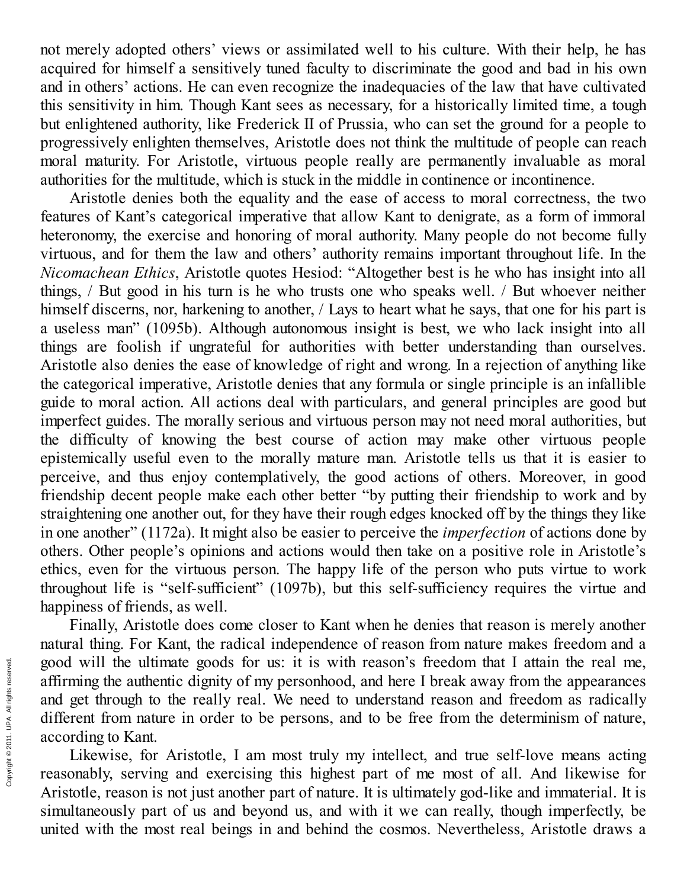not merely adopted others' views or assimilated well to his culture. With their help, he has acquired for himself a sensitively tuned faculty to discriminate the good and bad in his own and in others' actions. He can even recognize the inadequacies of the law that have cultivated this sensitivity in him. Though Kant sees as necessary, for a historically limited time, a tough but enlightened authority, like Frederick II of Prussia, who can set the ground for a people to progressively enlighten themselves, Aristotle does not think the multitude of people can reach moral maturity. For Aristotle, virtuous people really are permanently invaluable as moral authorities for the multitude, which is stuck in the middle in continence or incontinence.

Aristotle denies both the equality and the ease of access to moral correctness, the two features of Kant's categorical imperative that allow Kant to denigrate, as a form of immoral heteronomy, the exercise and honoring of moral authority. Many people do not become fully virtuous, and for them the law and others' authority remains important throughout life. In the *Nicomachean Ethics*, Aristotle quotes Hesiod: "Altogether best is he who has insight into all things,  $/$  But good in his turn is he who trusts one who speaks well.  $/$  But whoever neither himself discerns, nor, harkening to another, / Lays to heart what he says, that one for his part is a useless man" (1095b). Although autonomous insight is best, we who lack insight into all things are foolish if ungrateful for authorities with better understanding than ourselves. Aristotle also denies the ease of knowledge of right and wrong. In a rejection of anything like the categorical imperative, Aristotle denies that any formula or single principle is an infallible guide to moral action. All actions deal with particulars, and general principles are good but imperfect guides. The morally serious and virtuous person may not need moral authorities, but the difficulty of knowing the best course of action may make other virtuous people epistemically useful even to the morally mature man. Aristotle tells us that it is easier to perceive, and thus enjoy contemplatively, the good actions of others. Moreover, in good friendship decent people make each other better "by putting their friendship to work and by straightening one another out, for they have their rough edges knocked off by the things they like in one another" (1172a). It might also be easier to perceive the *imperfection* of actions done by others. Other people's opinions and actions would then take on a positive role in Aristotle's ethics, even for the virtuous person. The happy life of the person who puts virtue to work throughout life is "self-sufficient" (1097b), but this self-sufficiency requires the virtue and happiness of friends, as well.

Finally, Aristotle does come closer to Kant when he denies that reason is merely another natural thing. For Kant, the radical independence of reason from nature makes freedom and a good will the ultimate goods for us: it is with reason's freedom that I attain the real me, affirming the authentic dignity of my personhood, and here I break away from the appearances and get through to the really real. We need to understand reason and freedom as radically different from nature in order to be persons, and to be free from the determinism of nature, according to Kant.

Likewise, for Aristotle, I am most truly my intellect, and true self-love means acting reasonably, serving and exercising this highest part of me most of all. And likewise for Aristotle, reason is not just another part of nature. It is ultimately god-like and immaterial. It is simultaneously part of us and beyond us, and with it we can really, though imperfectly, be united with the most real beings in and behind the cosmos. Nevertheless, Aristotle draws a